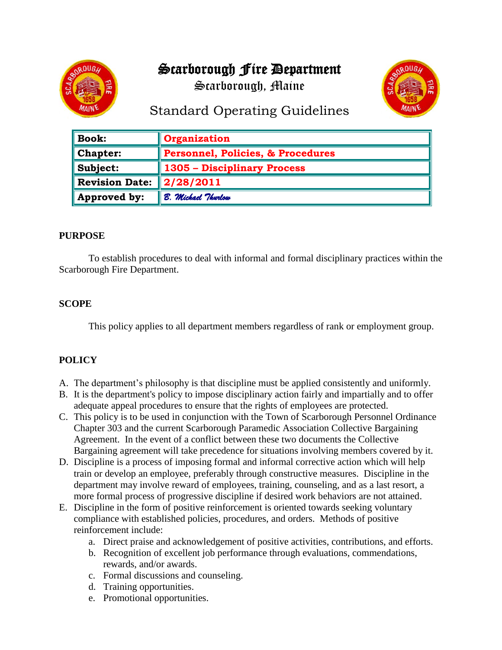## Scarborough Fire Department





# Standard Operating Guidelines

| $\parallel$ Book:           | <b>Organization</b>               |
|-----------------------------|-----------------------------------|
| $\blacksquare$ Chapter:     | Personnel, Policies, & Procedures |
| $\parallel$ Subject:        | 1305 - Disciplinary Process       |
| Revision Date:              | $\ 2/28/2011$                     |
| $\blacksquare$ Approved by: | B. Michael Thurlow                |

#### **PURPOSE**

To establish procedures to deal with informal and formal disciplinary practices within the Scarborough Fire Department.

## **SCOPE**

This policy applies to all department members regardless of rank or employment group.

## **POLICY**

- A. The department's philosophy is that discipline must be applied consistently and uniformly.
- B. It is the department's policy to impose disciplinary action fairly and impartially and to offer adequate appeal procedures to ensure that the rights of employees are protected.
- C. This policy is to be used in conjunction with the Town of Scarborough Personnel Ordinance Chapter 303 and the current Scarborough Paramedic Association Collective Bargaining Agreement. In the event of a conflict between these two documents the Collective Bargaining agreement will take precedence for situations involving members covered by it.
- D. Discipline is a process of imposing formal and informal corrective action which will help train or develop an employee, preferably through constructive measures. Discipline in the department may involve reward of employees, training, counseling, and as a last resort, a more formal process of progressive discipline if desired work behaviors are not attained.
- E. Discipline in the form of positive reinforcement is oriented towards seeking voluntary compliance with established policies, procedures, and orders. Methods of positive reinforcement include:
	- a. Direct praise and acknowledgement of positive activities, contributions, and efforts.
	- b. Recognition of excellent job performance through evaluations, commendations, rewards, and/or awards.
	- c. Formal discussions and counseling.
	- d. Training opportunities.
	- e. Promotional opportunities.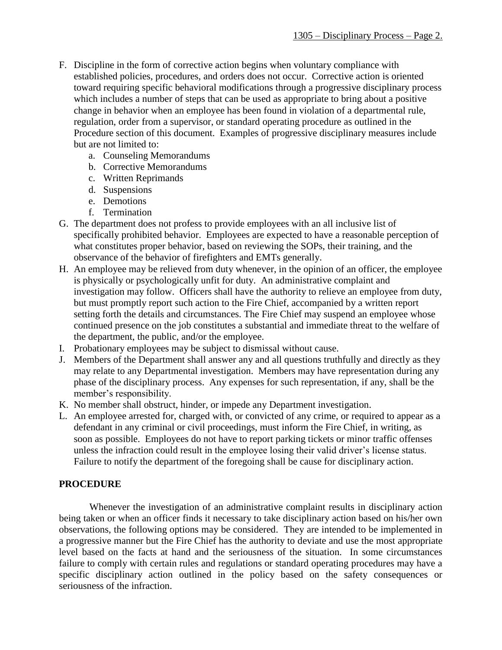- F. Discipline in the form of corrective action begins when voluntary compliance with established policies, procedures, and orders does not occur. Corrective action is oriented toward requiring specific behavioral modifications through a progressive disciplinary process which includes a number of steps that can be used as appropriate to bring about a positive change in behavior when an employee has been found in violation of a departmental rule, regulation, order from a supervisor, or standard operating procedure as outlined in the Procedure section of this document. Examples of progressive disciplinary measures include but are not limited to:
	- a. Counseling Memorandums
	- b. Corrective Memorandums
	- c. Written Reprimands
	- d. Suspensions
	- e. Demotions
	- f. Termination
- G. The department does not profess to provide employees with an all inclusive list of specifically prohibited behavior. Employees are expected to have a reasonable perception of what constitutes proper behavior, based on reviewing the SOPs, their training, and the observance of the behavior of firefighters and EMTs generally.
- H. An employee may be relieved from duty whenever, in the opinion of an officer, the employee is physically or psychologically unfit for duty. An administrative complaint and investigation may follow. Officers shall have the authority to relieve an employee from duty, but must promptly report such action to the Fire Chief, accompanied by a written report setting forth the details and circumstances. The Fire Chief may suspend an employee whose continued presence on the job constitutes a substantial and immediate threat to the welfare of the department, the public, and/or the employee.
- I. Probationary employees may be subject to dismissal without cause.
- J. Members of the Department shall answer any and all questions truthfully and directly as they may relate to any Departmental investigation. Members may have representation during any phase of the disciplinary process. Any expenses for such representation, if any, shall be the member's responsibility.
- K. No member shall obstruct, hinder, or impede any Department investigation.
- L. An employee arrested for, charged with, or convicted of any crime, or required to appear as a defendant in any criminal or civil proceedings, must inform the Fire Chief, in writing, as soon as possible. Employees do not have to report parking tickets or minor traffic offenses unless the infraction could result in the employee losing their valid driver's license status. Failure to notify the department of the foregoing shall be cause for disciplinary action.

#### **PROCEDURE**

Whenever the investigation of an administrative complaint results in disciplinary action being taken or when an officer finds it necessary to take disciplinary action based on his/her own observations, the following options may be considered. They are intended to be implemented in a progressive manner but the Fire Chief has the authority to deviate and use the most appropriate level based on the facts at hand and the seriousness of the situation. In some circumstances failure to comply with certain rules and regulations or standard operating procedures may have a specific disciplinary action outlined in the policy based on the safety consequences or seriousness of the infraction.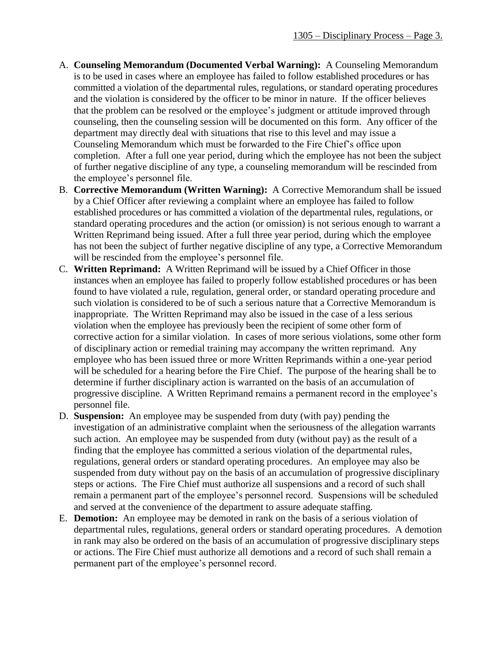- A. **Counseling Memorandum (Documented Verbal Warning):** A Counseling Memorandum is to be used in cases where an employee has failed to follow established procedures or has committed a violation of the departmental rules, regulations, or standard operating procedures and the violation is considered by the officer to be minor in nature. If the officer believes that the problem can be resolved or the employee's judgment or attitude improved through counseling, then the counseling session will be documented on this form. Any officer of the department may directly deal with situations that rise to this level and may issue a Counseling Memorandum which must be forwarded to the Fire Chief's office upon completion. After a full one year period, during which the employee has not been the subject of further negative discipline of any type, a counseling memorandum will be rescinded from the employee's personnel file.
- B. **Corrective Memorandum (Written Warning):** A Corrective Memorandum shall be issued by a Chief Officer after reviewing a complaint where an employee has failed to follow established procedures or has committed a violation of the departmental rules, regulations, or standard operating procedures and the action (or omission) is not serious enough to warrant a Written Reprimand being issued. After a full three year period, during which the employee has not been the subject of further negative discipline of any type, a Corrective Memorandum will be rescinded from the employee's personnel file.
- C. **Written Reprimand:** A Written Reprimand will be issued by a Chief Officer in those instances when an employee has failed to properly follow established procedures or has been found to have violated a rule, regulation, general order, or standard operating procedure and such violation is considered to be of such a serious nature that a Corrective Memorandum is inappropriate. The Written Reprimand may also be issued in the case of a less serious violation when the employee has previously been the recipient of some other form of corrective action for a similar violation. In cases of more serious violations, some other form of disciplinary action or remedial training may accompany the written reprimand. Any employee who has been issued three or more Written Reprimands within a one-year period will be scheduled for a hearing before the Fire Chief. The purpose of the hearing shall be to determine if further disciplinary action is warranted on the basis of an accumulation of progressive discipline. A Written Reprimand remains a permanent record in the employee's personnel file.
- D. **Suspension:** An employee may be suspended from duty (with pay) pending the investigation of an administrative complaint when the seriousness of the allegation warrants such action. An employee may be suspended from duty (without pay) as the result of a finding that the employee has committed a serious violation of the departmental rules, regulations, general orders or standard operating procedures. An employee may also be suspended from duty without pay on the basis of an accumulation of progressive disciplinary steps or actions. The Fire Chief must authorize all suspensions and a record of such shall remain a permanent part of the employee's personnel record. Suspensions will be scheduled and served at the convenience of the department to assure adequate staffing.
- E. **Demotion:** An employee may be demoted in rank on the basis of a serious violation of departmental rules, regulations, general orders or standard operating procedures. A demotion in rank may also be ordered on the basis of an accumulation of progressive disciplinary steps or actions. The Fire Chief must authorize all demotions and a record of such shall remain a permanent part of the employee's personnel record.